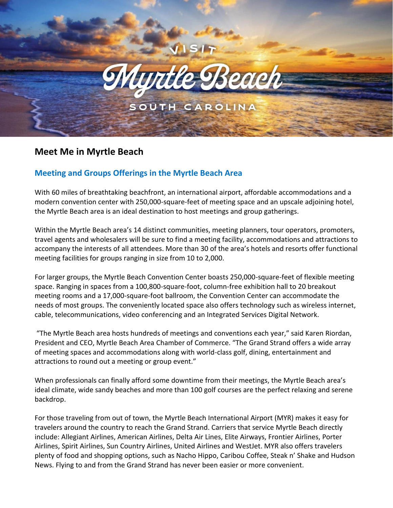

# **Meet Me in Myrtle Beach**

## **Meeting and Groups Offerings in the Myrtle Beach Area**

With 60 miles of breathtaking beachfront, an international airport, affordable accommodations and a modern convention center with 250,000-square-feet of meeting space and an upscale adjoining hotel, the Myrtle Beach area is an ideal destination to host meetings and group gatherings.

Within the Myrtle Beach area's 14 distinct communities, meeting planners, tour operators, promoters, travel agents and wholesalers will be sure to find a meeting facility, accommodations and attractions to accompany the interests of all attendees. More than 30 of the area's hotels and resorts offer functional meeting facilities for groups ranging in size from 10 to 2,000.

For larger groups, the Myrtle Beach Convention Center boasts 250,000-square-feet of flexible meeting space. Ranging in spaces from a 100,800-square-foot, column-free exhibition hall to 20 breakout meeting rooms and a 17,000-square-foot ballroom, the Convention Center can accommodate the needs of most groups. The conveniently located space also offers technology such as wireless internet, cable, telecommunications, video conferencing and an Integrated Services Digital Network.

"The Myrtle Beach area hosts hundreds of meetings and conventions each year," said Karen Riordan, President and CEO, Myrtle Beach Area Chamber of Commerce. "The Grand Strand offers a wide array of meeting spaces and accommodations along with world-class golf, dining, entertainment and attractions to round out a meeting or group event."

When professionals can finally afford some downtime from their meetings, the Myrtle Beach area's ideal climate, wide sandy beaches and more than 100 golf courses are the perfect relaxing and serene backdrop.

For those traveling from out of town, the Myrtle Beach International Airport (MYR) makes it easy for travelers around the country to reach the Grand Strand. Carriers that service Myrtle Beach directly include: Allegiant Airlines, American Airlines, Delta Air Lines, Elite Airways, Frontier Airlines, Porter Airlines, Spirit Airlines, Sun Country Airlines, United Airlines and WestJet. MYR also offers travelers plenty of food and shopping options, such as Nacho Hippo, Caribou Coffee, Steak n' Shake and Hudson News. Flying to and from the Grand Strand has never been easier or more convenient.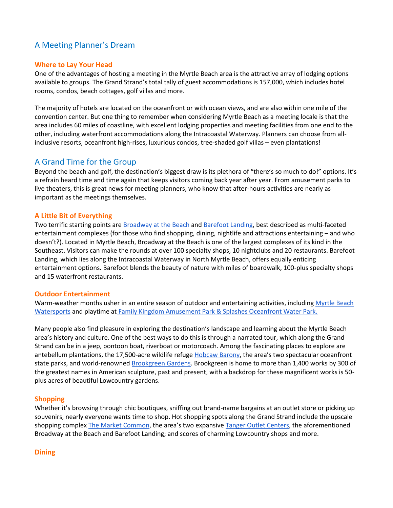## A Meeting Planner's Dream

#### **Where to Lay Your Head**

One of the advantages of hosting a meeting in the Myrtle Beach area is the attractive array of lodging options available to groups. The Grand Strand's total tally of guest accommodations is 157,000, which includes hotel rooms, condos, beach cottages, golf villas and more.

The majority of hotels are located on the oceanfront or with ocean views, and are also within one mile of the convention center. But one thing to remember when considering Myrtle Beach as a meeting locale is that the area includes 60 miles of coastline, with excellent lodging properties and meeting facilities from one end to the other, including waterfront accommodations along the Intracoastal Waterway. Planners can choose from allinclusive resorts, oceanfront high-rises, luxurious condos, tree-shaded golf villas – even plantations!

### A Grand Time for the Group

Beyond the beach and golf, the destination's biggest draw is its plethora of "there's so much to do!" options. It's a refrain heard time and time again that keeps visitors coming back year after year. From amusement parks to live theaters, this is great news for meeting planners, who know that after-hours activities are nearly as important as the meetings themselves.

#### **A Little Bit of Everything**

Two terrific starting points are [Broadway at the Beach](https://www.broadwayatthebeach.com/) and [Barefoot Landing,](https://www.bflanding.com/) best described as multi-faceted entertainment complexes (for those who find shopping, dining, nightlife and attractions entertaining – and who doesn't?). Located in Myrtle Beach, Broadway at the Beach is one of the largest complexes of its kind in the Southeast. Visitors can make the rounds at over 100 specialty shops, 10 nightclubs and 20 restaurants. Barefoot Landing, which lies along the Intracoastal Waterway in North Myrtle Beach, offers equally enticing entertainment options. Barefoot blends the beauty of nature with miles of boardwalk, 100-plus specialty shops and 15 waterfront restaurants.

#### **Outdoor Entertainment**

Warm-weather months usher in an entire season of outdoor and entertaining activities, including Myrtle Beach [Watersports](https://www.myrtlebeachwatersports.com/) and playtime at [Family Kingdom Amusement Park & Splashes Oceanfront Water Park.](https://www.familykingdomfun.com/)

Many people also find pleasure in exploring the destination's landscape and learning about the Myrtle Beach area's history and culture. One of the best ways to do this is through a narrated tour, which along the Grand Strand can be in a jeep, pontoon boat, riverboat or motorcoach. Among the fascinating places to explore are antebellum plantations, the 17,500-acre wildlife refuge [Hobcaw Barony](https://hobcawbarony.org/), the area's two spectacular oceanfront state parks, and world-renowned [Brookgreen Gardens.](https://www.brookgreen.org/) Brookgreen is home to more than 1,400 works by 300 of the greatest names in American sculpture, past and present, with a backdrop for these magnificent works is 50 plus acres of beautiful Lowcountry gardens.

#### **Shopping**

Whether it's browsing through chic boutiques, sniffing out brand-name bargains at an outlet store or picking up souvenirs, nearly everyone wants time to shop. Hot shopping spots along the Grand Strand include the upscale shopping comple[x The Market Common](https://www.marketcommonmb.com/), the area's two expansive [Tanger Outlet Centers,](https://www.tangeroutlet.com/) the aforementioned Broadway at the Beach and Barefoot Landing; and scores of charming Lowcountry shops and more.

#### **Dining**